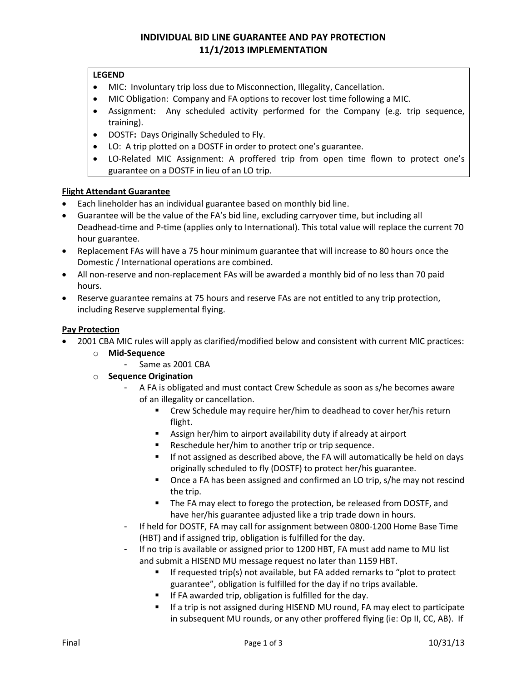# **INDIVIDUAL BID LINE GUARANTEE AND PAY PROTECTION 11/1/2013 IMPLEMENTATION**

### **LEGEND**

- MIC: Involuntary trip loss due to Misconnection, Illegality, Cancellation.
- MIC Obligation: Company and FA options to recover lost time following a MIC.
- Assignment: Any scheduled activity performed for the Company (e.g. trip sequence, training).
- DOSTF**:** Days Originally Scheduled to Fly.
- LO: A trip plotted on a DOSTF in order to protect one's guarantee.
- LO-Related MIC Assignment: A proffered trip from open time flown to protect one's guarantee on a DOSTF in lieu of an LO trip.

### **Flight Attendant Guarantee**

- Each lineholder has an individual guarantee based on monthly bid line.
- Guarantee will be the value of the FA's bid line, excluding carryover time, but including all Deadhead-time and P-time (applies only to International). This total value will replace the current 70 hour guarantee.
- Replacement FAs will have a 75 hour minimum guarantee that will increase to 80 hours once the Domestic / International operations are combined.
- All non-reserve and non-replacement FAs will be awarded a monthly bid of no less than 70 paid hours.
- Reserve guarantee remains at 75 hours and reserve FAs are not entitled to any trip protection, including Reserve supplemental flying.

### **Pay Protection**

- 2001 CBA MIC rules will apply as clarified/modified below and consistent with current MIC practices:
	- o **Mid-Sequence**
		- Same as 2001 CBA
	- o **Sequence Origination**
		- A FA is obligated and must contact Crew Schedule as soon as s/he becomes aware of an illegality or cancellation.
			- **EXP** Crew Schedule may require her/him to deadhead to cover her/his return flight.
			- Assign her/him to airport availability duty if already at airport
			- Reschedule her/him to another trip or trip sequence.
			- **If not assigned as described above, the FA will automatically be held on days** originally scheduled to fly (DOSTF) to protect her/his guarantee.
			- **•** Once a FA has been assigned and confirmed an LO trip, s/he may not rescind the trip.
			- **The FA may elect to forego the protection, be released from DOSTF, and** have her/his guarantee adjusted like a trip trade down in hours.
		- If held for DOSTF, FA may call for assignment between 0800-1200 Home Base Time (HBT) and if assigned trip, obligation is fulfilled for the day.
		- If no trip is available or assigned prior to 1200 HBT, FA must add name to MU list and submit a HISEND MU message request no later than 1159 HBT.
			- **If requested trip(s) not available, but FA added remarks to "plot to protect**" guarantee", obligation is fulfilled for the day if no trips available.
			- **If FA awarded trip, obligation is fulfilled for the day.**
			- If a trip is not assigned during HISEND MU round, FA may elect to participate in subsequent MU rounds, or any other proffered flying (ie: Op II, CC, AB). If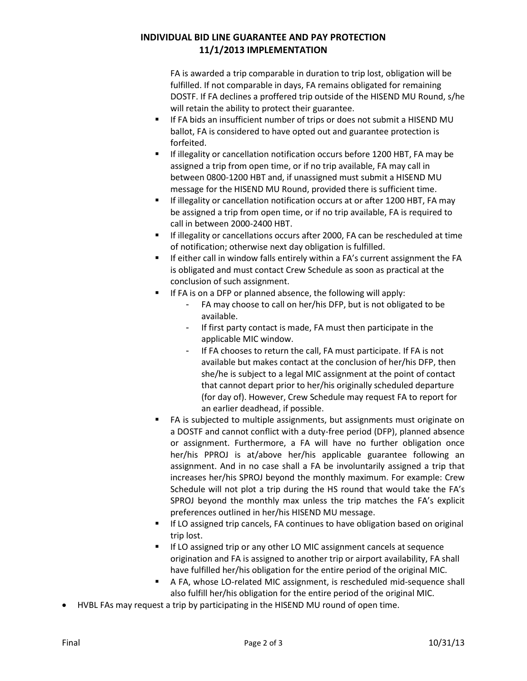# **INDIVIDUAL BID LINE GUARANTEE AND PAY PROTECTION 11/1/2013 IMPLEMENTATION**

FA is awarded a trip comparable in duration to trip lost, obligation will be fulfilled. If not comparable in days, FA remains obligated for remaining DOSTF. If FA declines a proffered trip outside of the HISEND MU Round, s/he will retain the ability to protect their guarantee.

- **If FA bids an insufficient number of trips or does not submit a HISEND MU** ballot, FA is considered to have opted out and guarantee protection is forfeited.
- If illegality or cancellation notification occurs before 1200 HBT, FA may be assigned a trip from open time, or if no trip available, FA may call in between 0800-1200 HBT and, if unassigned must submit a HISEND MU message for the HISEND MU Round, provided there is sufficient time.
- **If illegality or cancellation notification occurs at or after 1200 HBT, FA may** be assigned a trip from open time, or if no trip available, FA is required to call in between 2000-2400 HBT.
- If illegality or cancellations occurs after 2000, FA can be rescheduled at time of notification; otherwise next day obligation is fulfilled.
- If either call in window falls entirely within a FA's current assignment the FA is obligated and must contact Crew Schedule as soon as practical at the conclusion of such assignment.
- If FA is on a DFP or planned absence, the following will apply:
	- FA may choose to call on her/his DFP, but is not obligated to be available.
	- If first party contact is made, FA must then participate in the applicable MIC window.
	- If FA chooses to return the call, FA must participate. If FA is not available but makes contact at the conclusion of her/his DFP, then she/he is subject to a legal MIC assignment at the point of contact that cannot depart prior to her/his originally scheduled departure (for day of). However, Crew Schedule may request FA to report for an earlier deadhead, if possible.
- FA is subjected to multiple assignments, but assignments must originate on a DOSTF and cannot conflict with a duty-free period (DFP), planned absence or assignment. Furthermore, a FA will have no further obligation once her/his PPROJ is at/above her/his applicable guarantee following an assignment. And in no case shall a FA be involuntarily assigned a trip that increases her/his SPROJ beyond the monthly maximum. For example: Crew Schedule will not plot a trip during the HS round that would take the FA's SPROJ beyond the monthly max unless the trip matches the FA's explicit preferences outlined in her/his HISEND MU message.
- If LO assigned trip cancels, FA continues to have obligation based on original trip lost.
- If LO assigned trip or any other LO MIC assignment cancels at sequence origination and FA is assigned to another trip or airport availability, FA shall have fulfilled her/his obligation for the entire period of the original MIC.
- A FA, whose LO-related MIC assignment, is rescheduled mid-sequence shall also fulfill her/his obligation for the entire period of the original MIC.
- HVBL FAs may request a trip by participating in the HISEND MU round of open time.